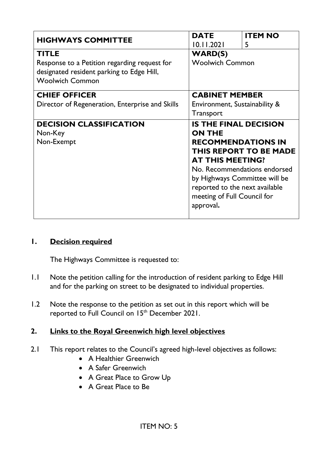| <b>HIGHWAYS COMMITTEE</b>                                                                                                           | <b>DATE</b><br>10.11.2021                                                                                                                                                                                                                                                             | <b>ITEM NO</b><br>5 |
|-------------------------------------------------------------------------------------------------------------------------------------|---------------------------------------------------------------------------------------------------------------------------------------------------------------------------------------------------------------------------------------------------------------------------------------|---------------------|
| <b>TITLE</b><br>Response to a Petition regarding request for<br>designated resident parking to Edge Hill,<br><b>Woolwich Common</b> | <b>WARD(S)</b><br><b>Woolwich Common</b>                                                                                                                                                                                                                                              |                     |
| <b>CHIEF OFFICER</b><br>Director of Regeneration, Enterprise and Skills                                                             | <b>CABINET MEMBER</b><br>Environment, Sustainability &<br>Transport                                                                                                                                                                                                                   |                     |
| <b>DECISION CLASSIFICATION</b><br>Non-Key<br>Non-Exempt                                                                             | <b>IS THE FINAL DECISION</b><br><b>ON THE</b><br><b>RECOMMENDATIONS IN</b><br><b>THIS REPORT TO BE MADE</b><br><b>AT THIS MEETING?</b><br>No. Recommendations endorsed<br>by Highways Committee will be<br>reported to the next available<br>meeting of Full Council for<br>approval. |                     |

#### **1. Decision required**

The Highways Committee is requested to:

- 1.1 Note the petition calling for the introduction of resident parking to Edge Hill and for the parking on street to be designated to individual properties.
- 1.2 Note the response to the petition as set out in this report which will be reported to Full Council on 15<sup>th</sup> December 2021.

#### **2. Links to the Royal Greenwich high level objectives**

- 2.1 This report relates to the Council's agreed high-level objectives as follows:
	- A Healthier Greenwich
	- A Safer Greenwich
	- A Great Place to Grow Up
	- A Great Place to Be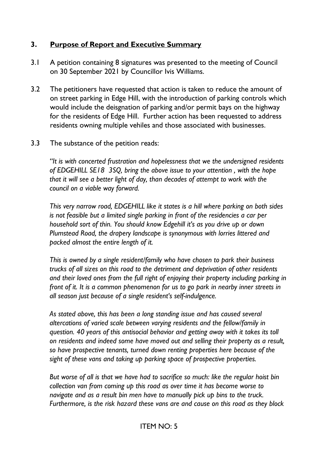#### **3. Purpose of Report and Executive Summary**

- 3.1 A petition containing 8 signatures was presented to the meeting of Council on 30 September 2021 by Councillor Ivis Williams.
- 3.2 The petitioners have requested that action is taken to reduce the amount of on street parking in Edge Hill, with the introduction of parking controls which would include the deisgnation of parking and/or permit bays on the highway for the residents of Edge Hill. Further action has been requested to address residents owning multiple vehiles and those associated with businesses.
- 3.3 The substance of the petition reads:

*"It is with concerted frustration and hopelessness that we the undersigned residents of EDGEHILL SE18 3SQ, bring the above issue to your attention , with the hope that it will see a better light of day, than decades of attempt to work with the council on a viable way forward.*

*This very narrow road, EDGEHILL like it states is a hill where parking on both sides is not feasible but a limited single parking in front of the residencies a car per household sort of thin. You should know Edgehill it's as you drive up or down Plumstead Road, the drapery landscape is synonymous with lorries littered and packed almost the entire length of it.*

*This is owned by a single resident/family who have chosen to park their business trucks of all sizes on this road to the detriment and deprivation of other residents and their loved ones from the full right of enjoying their property including parking in front of it. It is a common phenomenon for us to go park in nearby inner streets in all season just because of a single resident's self-indulgence.* 

*As stated above, this has been a long standing issue and has caused several altercations of varied scale between varying residents and the fellow/family in question. 40 years of this antisocial behavior and getting away with it takes its toll on residents and indeed some have moved out and selling their property as a result, so have prospective tenants, turned down renting properties here because of the sight of these vans and taking up parking space of prospective properties.*

*But worse of all is that we have had to sacrifice so much: like the regular hoist bin collection van from coming up this road as over time it has become worse to navigate and as a result bin men have to manually pick up bins to the truck. Furthermore, is the risk hazard these vans are and cause on this road as they block*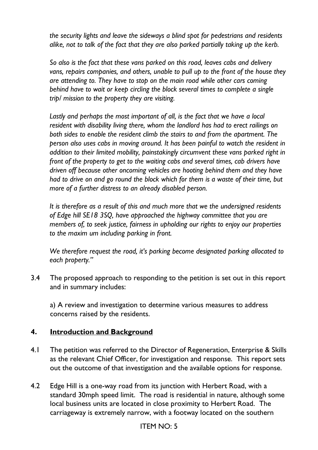*the security lights and leave the sideways a blind spot for pedestrians and residents alike, not to talk of the fact that they are also parked partially taking up the kerb.*

*So also is the fact that these vans parked on this road, leaves cabs and delivery vans, repairs companies, and others, unable to pull up to the front of the house they are attending to. They have to stop on the main road while other cars coming behind have to wait or keep circling the block several times to complete a single trip/ mission to the property they are visiting.*

*Lastly and perhaps the most important of all, is the fact that we have a local resident with disability living there, whom the landlord has had to erect railings on both sides to enable the resident climb the stairs to and from the apartment. The person also uses cabs in moving around. It has been painful to watch the resident in addition to their limited mobility, painstakingly circumvent these vans parked right in front of the property to get to the waiting cabs and several times, cab drivers have driven off because other oncoming vehicles are hooting behind them and they have had to drive on and go round the block which for them is a waste of their time, but more of a further distress to an already disabled person.*

*It is therefore as a result of this and much more that we the undersigned residents of Edge hill SE18 3SQ, have approached the highway committee that you are members of, to seek justice, fairness in upholding our rights to enjoy our properties to the maxim um including parking in front.*

*We therefore request the road, it's parking become designated parking allocated to each property."*

3.4 The proposed approach to responding to the petition is set out in this report and in summary includes:

a) A review and investigation to determine various measures to address concerns raised by the residents.

#### **4. Introduction and Background**

- 4.1 The petition was referred to the Director of Regeneration, Enterprise & Skills as the relevant Chief Officer, for investigation and response. This report sets out the outcome of that investigation and the available options for response.
- 4.2 Edge Hill is a one-way road from its junction with Herbert Road, with a standard 30mph speed limit. The road is residential in nature, although some local business units are located in close proximity to Herbert Road. The carriageway is extremely narrow, with a footway located on the southern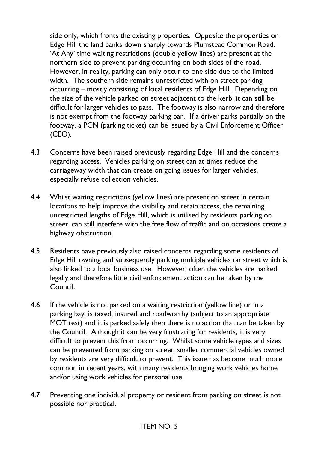side only, which fronts the existing properties. Opposite the properties on Edge Hill the land banks down sharply towards Plumstead Common Road. 'At Any' time waiting restrictions (double yellow lines) are present at the northern side to prevent parking occurring on both sides of the road. However, in reality, parking can only occur to one side due to the limited width. The southern side remains unrestricted with on street parking occurring – mostly consisting of local residents of Edge Hill. Depending on the size of the vehicle parked on street adjacent to the kerb, it can still be difficult for larger vehicles to pass. The footway is also narrow and therefore is not exempt from the footway parking ban. If a driver parks partially on the footway, a PCN (parking ticket) can be issued by a Civil Enforcement Officer (CEO).

- 4.3 Concerns have been raised previously regarding Edge Hill and the concerns regarding access. Vehicles parking on street can at times reduce the carriageway width that can create on going issues for larger vehicles, especially refuse collection vehicles.
- 4.4 Whilst waiting restrictions (yellow lines) are present on street in certain locations to help improve the visibility and retain access, the remaining unrestricted lengths of Edge Hill, which is utilised by residents parking on street, can still interfere with the free flow of traffic and on occasions create a highway obstruction.
- 4.5 Residents have previously also raised concerns regarding some residents of Edge Hill owning and subsequently parking multiple vehicles on street which is also linked to a local business use. However, often the vehicles are parked legally and therefore little civil enforcement action can be taken by the Council.
- 4.6 If the vehicle is not parked on a waiting restriction (yellow line) or in a parking bay, is taxed, insured and roadworthy (subject to an appropriate MOT test) and it is parked safely then there is no action that can be taken by the Council. Although it can be very frustrating for residents, it is very difficult to prevent this from occurring. Whilst some vehicle types and sizes can be prevented from parking on street, smaller commercial vehicles owned by residents are very difficult to prevent. This issue has become much more common in recent years, with many residents bringing work vehicles home and/or using work vehicles for personal use.
- 4.7 Preventing one individual property or resident from parking on street is not possible nor practical.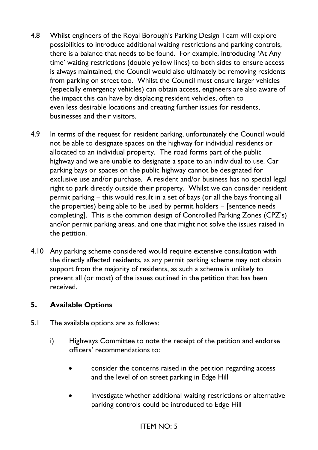- 4.8 Whilst engineers of the Royal Borough's Parking Design Team will explore possibilities to introduce additional waiting restrictions and parking controls, there is a balance that needs to be found. For example, introducing 'At Any time' waiting restrictions (double yellow lines) to both sides to ensure access is always maintained, the Council would also ultimately be removing residents from parking on street too. Whilst the Council must ensure larger vehicles (especially emergency vehicles) can obtain access, engineers are also aware of the impact this can have by displacing resident vehicles, often to even less desirable locations and creating further issues for residents, businesses and their visitors.
- 4.9 In terms of the request for resident parking, unfortunately the Council would not be able to designate spaces on the highway for individual residents or allocated to an individual property. The road forms part of the public highway and we are unable to designate a space to an individual to use. Car parking bays or spaces on the public highway cannot be designated for exclusive use and/or purchase. A resident and/or business has no special legal right to park directly outside their property. Whilst we can consider resident permit parking – this would result in a set of bays (or all the bays fronting all the properties) being able to be used by permit holders – [sentence needs completing]. This is the common design of Controlled Parking Zones (CPZ's) and/or permit parking areas, and one that might not solve the issues raised in the petition.
- 4.10 Any parking scheme considered would require extensive consultation with the directly affected residents, as any permit parking scheme may not obtain support from the majority of residents, as such a scheme is unlikely to prevent all (or most) of the issues outlined in the petition that has been received.

#### **5. Available Options**

- 5.1 The available options are as follows:
	- i) Highways Committee to note the receipt of the petition and endorse officers' recommendations to:
		- consider the concerns raised in the petition regarding access and the level of on street parking in Edge Hill
		- investigate whether additional waiting restrictions or alternative parking controls could be introduced to Edge Hill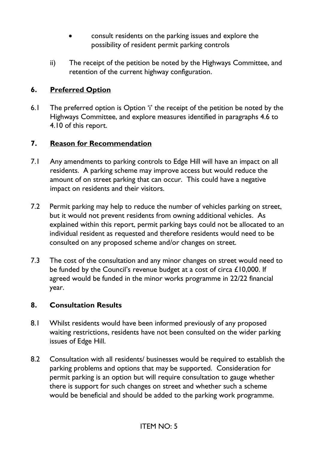- consult residents on the parking issues and explore the possibility of resident permit parking controls
- ii) The receipt of the petition be noted by the Highways Committee, and retention of the current highway configuration.

#### **6. Preferred Option**

6.1 The preferred option is Option 'i' the receipt of the petition be noted by the Highways Committee, and explore measures identified in paragraphs 4.6 to 4.10 of this report.

#### **7. Reason for Recommendation**

- 7.1 Any amendments to parking controls to Edge Hill will have an impact on all residents. A parking scheme may improve access but would reduce the amount of on street parking that can occur. This could have a negative impact on residents and their visitors.
- 7.2 Permit parking may help to reduce the number of vehicles parking on street, but it would not prevent residents from owning additional vehicles. As explained within this report, permit parking bays could not be allocated to an individual resident as requested and therefore residents would need to be consulted on any proposed scheme and/or changes on street.
- 7.3 The cost of the consultation and any minor changes on street would need to be funded by the Council's revenue budget at a cost of circa £10,000. If agreed would be funded in the minor works programme in 22/22 financial year.

#### **8. Consultation Results**

- 8.1 Whilst residents would have been informed previously of any proposed waiting restrictions, residents have not been consulted on the wider parking issues of Edge Hill.
- 8.2 Consultation with all residents/ businesses would be required to establish the parking problems and options that may be supported. Consideration for permit parking is an option but will require consultation to gauge whether there is support for such changes on street and whether such a scheme would be beneficial and should be added to the parking work programme.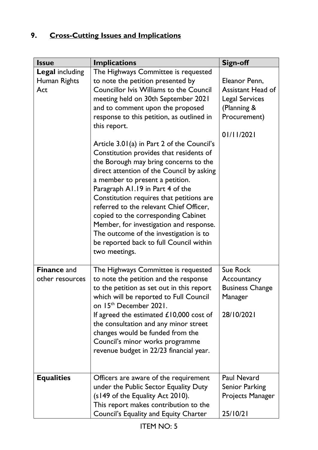# **9. Cross-Cutting Issues and Implications**

| <b>Issue</b>                                  | <b>Implications</b>                                                                                                                                                                                                                                                                                                                                                                                                                                                                                                                                                                                                                                                                                                                                                                                     | <b>Sign-off</b>                                                                                                 |
|-----------------------------------------------|---------------------------------------------------------------------------------------------------------------------------------------------------------------------------------------------------------------------------------------------------------------------------------------------------------------------------------------------------------------------------------------------------------------------------------------------------------------------------------------------------------------------------------------------------------------------------------------------------------------------------------------------------------------------------------------------------------------------------------------------------------------------------------------------------------|-----------------------------------------------------------------------------------------------------------------|
| <b>Legal including</b><br>Human Rights<br>Act | The Highways Committee is requested<br>to note the petition presented by<br><b>Councillor Ivis Williams to the Council</b><br>meeting held on 30th September 2021<br>and to comment upon the proposed<br>response to this petition, as outlined in<br>this report.<br>Article 3.01(a) in Part 2 of the Council's<br>Constitution provides that residents of<br>the Borough may bring concerns to the<br>direct attention of the Council by asking<br>a member to present a petition.<br>Paragraph A1.19 in Part 4 of the<br>Constitution requires that petitions are<br>referred to the relevant Chief Officer,<br>copied to the corresponding Cabinet<br>Member, for investigation and response.<br>The outcome of the investigation is to<br>be reported back to full Council within<br>two meetings. | Eleanor Penn,<br><b>Assistant Head of</b><br><b>Legal Services</b><br>(Planning &<br>Procurement)<br>01/11/2021 |
| <b>Finance and</b><br>other resources         | The Highways Committee is requested<br>to note the petition and the response<br>to the petition as set out in this report<br>which will be reported to Full Council<br>on 15th December 2021.<br>If agreed the estimated $£10,000$ cost of<br>the consultation and any minor street<br>changes would be funded from the<br>Council's minor works programme<br>revenue budget in 22/23 financial year.                                                                                                                                                                                                                                                                                                                                                                                                   | <b>Sue Rock</b><br>Accountancy<br><b>Business Change</b><br>Manager<br>28/10/2021                               |
| <b>Equalities</b>                             | Officers are aware of the requirement<br>under the Public Sector Equality Duty<br>(s149 of the Equality Act 2010).<br>This report makes contribution to the<br>Council's Equality and Equity Charter                                                                                                                                                                                                                                                                                                                                                                                                                                                                                                                                                                                                    | Paul Nevard<br>Senior Parking<br>Projects Manager<br>25/10/21                                                   |